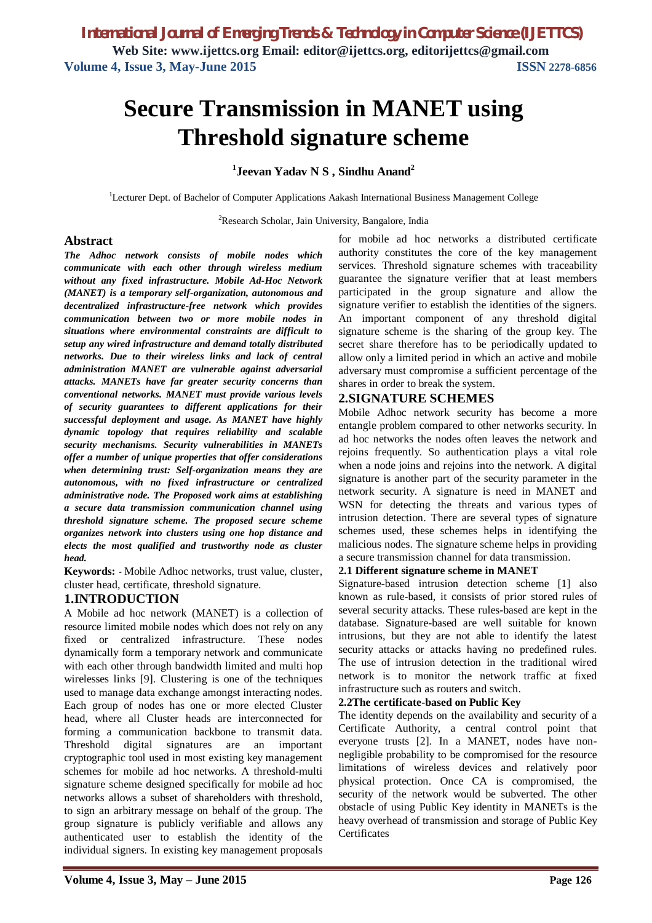# **Secure Transmission in MANET using Threshold signature scheme**

**1 Jeevan Yadav N S , Sindhu Anand<sup>2</sup>**

<sup>1</sup>Lecturer Dept. of Bachelor of Computer Applications Aakash International Business Management College

<sup>2</sup>Research Scholar, Jain University, Bangalore, India

# **Abstract**

*The Adhoc network consists of mobile nodes which communicate with each other through wireless medium without any fixed infrastructure. Mobile Ad-Hoc Network (MANET) is a temporary self-organization, autonomous and decentralized infrastructure-free network which provides communication between two or more mobile nodes in situations where environmental constraints are difficult to setup any wired infrastructure and demand totally distributed networks. Due to their wireless links and lack of central administration MANET are vulnerable against adversarial attacks. MANETs have far greater security concerns than conventional networks. MANET must provide various levels of security guarantees to different applications for their successful deployment and usage. As MANET have highly dynamic topology that requires reliability and scalable security mechanisms. Security vulnerabilities in MANETs offer a number of unique properties that offer considerations when determining trust: Self-organization means they are autonomous, with no fixed infrastructure or centralized administrative node. The Proposed work aims at establishing a secure data transmission communication channel using threshold signature scheme. The proposed secure scheme organizes network into clusters using one hop distance and elects the most qualified and trustworthy node as cluster head.*

**Keywords:** - Mobile Adhoc networks, trust value, cluster, cluster head, certificate, threshold signature.

# **1.INTRODUCTION**

A Mobile ad hoc network (MANET) is a collection of resource limited mobile nodes which does not rely on any fixed or centralized infrastructure. These nodes dynamically form a temporary network and communicate with each other through bandwidth limited and multi hop wirelesses links [9]. Clustering is one of the techniques used to manage data exchange amongst interacting nodes. Each group of nodes has one or more elected Cluster head, where all Cluster heads are interconnected for forming a communication backbone to transmit data. Threshold digital signatures are an important cryptographic tool used in most existing key management schemes for mobile ad hoc networks. A threshold-multi signature scheme designed specifically for mobile ad hoc networks allows a subset of shareholders with threshold, to sign an arbitrary message on behalf of the group. The group signature is publicly verifiable and allows any authenticated user to establish the identity of the individual signers. In existing key management proposals for mobile ad hoc networks a distributed certificate authority constitutes the core of the key management services. Threshold signature schemes with traceability guarantee the signature verifier that at least members participated in the group signature and allow the signature verifier to establish the identities of the signers. An important component of any threshold digital signature scheme is the sharing of the group key. The secret share therefore has to be periodically updated to allow only a limited period in which an active and mobile adversary must compromise a sufficient percentage of the shares in order to break the system.

### **2.SIGNATURE SCHEMES**

Mobile Adhoc network security has become a more entangle problem compared to other networks security. In ad hoc networks the nodes often leaves the network and rejoins frequently. So authentication plays a vital role when a node joins and rejoins into the network. A digital signature is another part of the security parameter in the network security. A signature is need in MANET and WSN for detecting the threats and various types of intrusion detection. There are several types of signature schemes used, these schemes helps in identifying the malicious nodes. The signature scheme helps in providing a secure transmission channel for data transmission.

### **2.1 Different signature scheme in MANET**

Signature-based intrusion detection scheme [1] also known as rule-based, it consists of prior stored rules of several security attacks. These rules-based are kept in the database. Signature-based are well suitable for known intrusions, but they are not able to identify the latest security attacks or attacks having no predefined rules. The use of intrusion detection in the traditional wired network is to monitor the network traffic at fixed infrastructure such as routers and switch.

#### **2.2The certificate-based on Public Key**

The identity depends on the availability and security of a Certificate Authority, a central control point that everyone trusts [2]. In a MANET, nodes have nonnegligible probability to be compromised for the resource limitations of wireless devices and relatively poor physical protection. Once CA is compromised, the security of the network would be subverted. The other obstacle of using Public Key identity in MANETs is the heavy overhead of transmission and storage of Public Key Certificates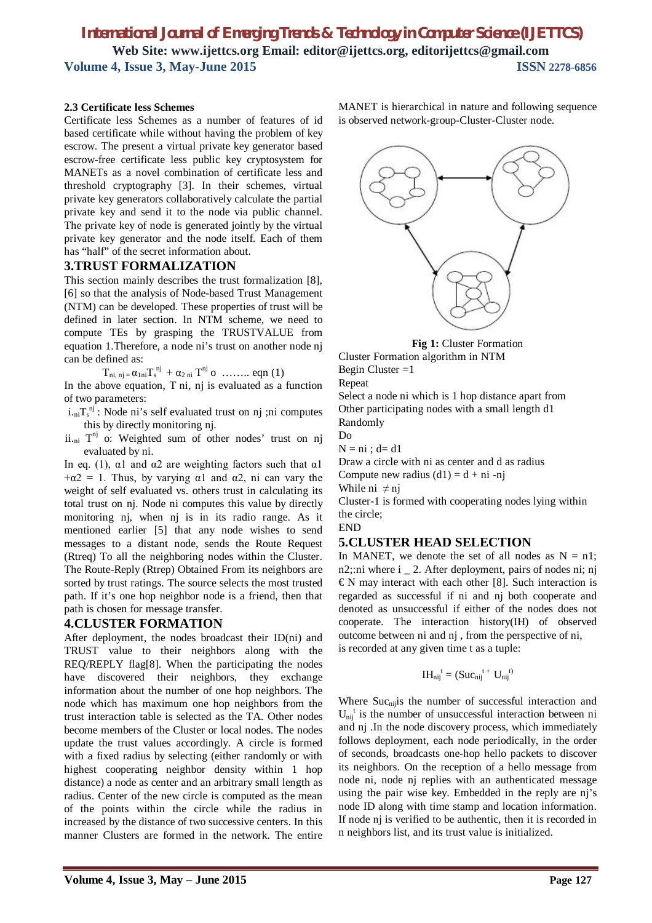# *International Journal of Emerging Trends & Technology in Computer Science (IJETTCS)* **Web Site: www.ijettcs.org Email: editor@ijettcs.org, editorijettcs@gmail.com Volume 4, Issue 3, May-June 2015 ISSN** 2278-6856

#### **2.3 Certificate less Schemes**

Certificate less Schemes as a number of features of id based certificate while without having the problem of key escrow. The present a virtual private key generator based escrow-free certificate less public key cryptosystem for MANETs as a novel combination of certificate less and threshold cryptography [3]. In their schemes, virtual private key generators collaboratively calculate the partial private key and send it to the node via public channel. The private key of node is generated jointly by the virtual private key generator and the node itself. Each of them has "half" of the secret information about.

#### **3.TRUST FORMALIZATION**

This section mainly describes the trust formalization [8], [6] so that the analysis of Node-based Trust Management (NTM) can be developed. These properties of trust will be defined in later section. In NTM scheme, we need to compute TEs by grasping the TRUSTVALUE from equation 1.Therefore, a node ni's trust on another node nj can be defined as:

 $T_{ni, nj} = \alpha_{1ni} T_s^{nj} + \alpha_{2ni} T^{nj}$  o ........ eqn (1)

In the above equation, T ni, nj is evaluated as a function of two parameters:

- $i_{\text{ni}}T_s^{nj}$ : Node ni's self evaluated trust on nj ;ni computes this by directly monitoring nj.
- ii. $_{ni}$  T<sup>nj</sup> o: Weighted sum of other nodes' trust on nj evaluated by ni.

In eq. (1),  $\alpha$ 1 and  $\alpha$ 2 are weighting factors such that  $\alpha$ 1  $+\alpha$ 2 = 1. Thus, by varying  $\alpha$ 1 and  $\alpha$ 2, ni can vary the weight of self evaluated vs. others trust in calculating its total trust on nj. Node ni computes this value by directly monitoring nj, when nj is in its radio range. As it mentioned earlier [5] that any node wishes to send messages to a distant node, sends the Route Request (Rtreq) To all the neighboring nodes within the Cluster. The Route-Reply (Rtrep) Obtained From its neighbors are sorted by trust ratings. The source selects the most trusted path. If it's one hop neighbor node is a friend, then that path is chosen for message transfer.

#### **4.CLUSTER FORMATION**

After deployment, the nodes broadcast their ID(ni) and TRUST value to their neighbors along with the REQ/REPLY flag[8]. When the participating the nodes have discovered their neighbors, they exchange information about the number of one hop neighbors. The node which has maximum one hop neighbors from the trust interaction table is selected as the TA. Other nodes become members of the Cluster or local nodes. The nodes update the trust values accordingly. A circle is formed with a fixed radius by selecting (either randomly or with highest cooperating neighbor density within 1 hop distance) a node as center and an arbitrary small length as radius. Center of the new circle is computed as the mean of the points within the circle while the radius in increased by the distance of two successive centers. In this manner Clusters are formed in the network. The entire MANET is hierarchical in nature and following sequence is observed network-group-Cluster-Cluster node.



**Fig 1:** Cluster Formation

Cluster Formation algorithm in NTM

Begin Cluster  $=1$ 

Repeat

Select a node ni which is 1 hop distance apart from Other participating nodes with a small length d1 Randomly

Do

 $N = ni$ ;  $d = d1$ 

Draw a circle with ni as center and d as radius

Compute new radius  $(d1) = d + ni - ni$ 

While ni  $\neq$  nj

Cluster-1 is formed with cooperating nodes lying within the circle;

END

# **5.CLUSTER HEAD SELECTION**

In MANET, we denote the set of all nodes as  $N = n!$ ; n2;:ni where i 2. After deployment, pairs of nodes ni; nj  $\epsilon$ N may interact with each other [8]. Such interaction is regarded as successful if ni and nj both cooperate and denoted as unsuccessful if either of the nodes does not cooperate. The interaction history(IH) of observed outcome between ni and nj , from the perspective of ni, is recorded at any given time t as a tuple:

$$
IH_{nij}^{\phantom{nij}t}=(Suc_{nij}^{\phantom{nij}t\phantom{n}+}\phantom{U_{nij}^t})
$$

Where Suc<sub>nij</sub>is the number of successful interaction and  $U_{nij}$ <sup>t</sup> is the number of unsuccessful interaction between ni and nj .In the node discovery process, which immediately follows deployment, each node periodically, in the order of seconds, broadcasts one-hop hello packets to discover its neighbors. On the reception of a hello message from node ni, node nj replies with an authenticated message using the pair wise key. Embedded in the reply are nj's node ID along with time stamp and location information. If node nj is verified to be authentic, then it is recorded in n neighbors list, and its trust value is initialized.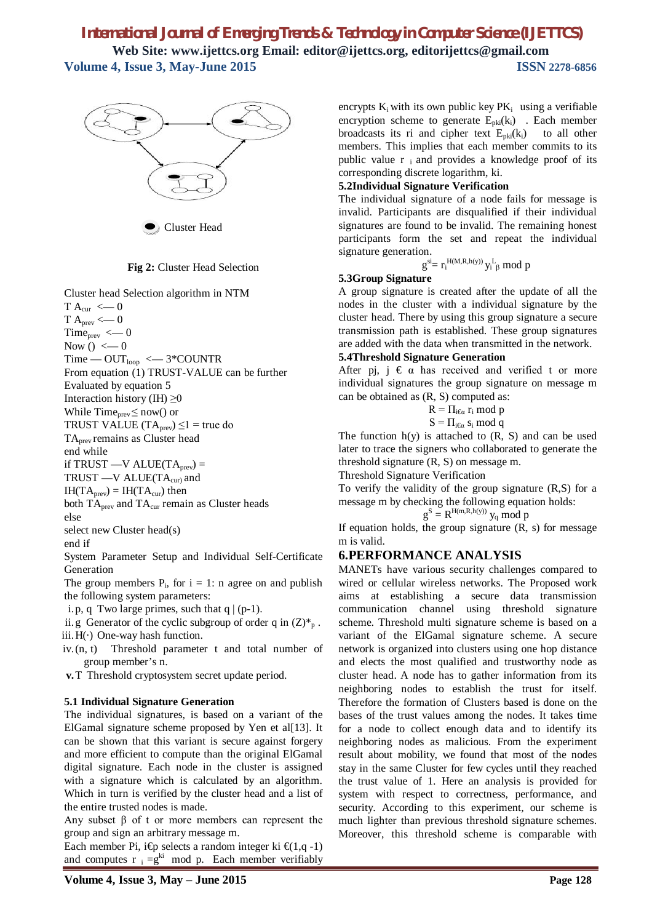# *International Journal of Emerging Trends & Technology in Computer Science (IJETTCS)* **Web Site: www.ijettcs.org Email: editor@ijettcs.org, editorijettcs@gmail.com Volume 4, Issue 3, May-June 2015 ISSN** 2278-6856



**Fig 2:** Cluster Head Selection

Cluster head Selection algorithm in NTM  $T A_{cur} \leq 0$  $T A<sub>prev</sub> < 0$ Time $_{prev} < 0$ Now ()  $\leq$  0  $Time$  — OUT<sub>loop</sub> <  $-3*$  COUNTR From equation (1) TRUST-VALUE can be further Evaluated by equation 5 Interaction history (IH)  $\geq$ 0 While Time<sub>prev</sub> $\leq$  now() or TRUST VALUE (TA<sub>prev</sub>)  $\leq$ 1 = true do TAprev remains as Cluster head end while if TRUST  $-V$  ALUE(TA<sub>prev</sub>) =  $TRUST -V ALUE(TA<sub>cur</sub>)$  and  $IH(TA<sub>prev</sub>) = IH(TA<sub>cur</sub>)$  then both  $TA<sub>prev</sub>$  and  $TA<sub>cur</sub>$  remain as Cluster heads else select new Cluster head(s) end if System Parameter Setup and Individual Self-Certificate Generation

The group members  $P_i$ , for  $i = 1$ : n agree on and publish the following system parameters:

i.p, q Two large primes, such that  $q | (p-1)$ .

ii.g Generator of the cyclic subgroup of order q in  $(Z)^*_{p}$ . iii.  $H(\cdot)$  One-way hash function.

iv.(n, t) Threshold parameter t and total number of group member's n.

**v.**T Threshold cryptosystem secret update period.

### **5.1 Individual Signature Generation**

The individual signatures, is based on a variant of the ElGamal signature scheme proposed by Yen et al[13]. It can be shown that this variant is secure against forgery and more efficient to compute than the original ElGamal digital signature. Each node in the cluster is assigned with a signature which is calculated by an algorithm. Which in turn is verified by the cluster head and a list of the entire trusted nodes is made.

Any subset  $β$  of t or more members can represent the group and sign an arbitrary message m.

Each member Pi, i $\oplus$  selects a random integer ki  $\oplus$  1,q -1) and computes  $r_i = g^{ki} \mod p$ . Each member verifiably encrypts  $K_i$  with its own public key  $PK_i$  using a verifiable encryption scheme to generate  $E_{pki}(k_i)$ . Each member broadcasts its ri and cipher text  $E_{pki}(k_i)$  to all other members. This implies that each member commits to its public value  $r_i$  and provides a knowledge proof of its corresponding discrete logarithm, ki.

### **5.2Individual Signature Verification**

The individual signature of a node fails for message is invalid. Participants are disqualified if their individual signatures are found to be invalid. The remaining honest participants form the set and repeat the individual signature generation.

$$
g^{si}=r_i^{H(M,R,h(y))}\,y_i^L{}_\beta\ mod\ p
$$

### **5.3Group Signature**

A group signature is created after the update of all the nodes in the cluster with a individual signature by the cluster head. There by using this group signature a secure transmission path is established. These group signatures are added with the data when transmitted in the network.

#### **5.4Threshold Signature Generation**

After pj,  $j \in \alpha$  has received and verified t or more individual signatures the group signature on message m can be obtained as (R, S) computed as:

$$
R = \Pi_{i \in \alpha} r_i \text{ mod } p
$$
  

$$
S = \Pi_{i \in \alpha} s_i \text{ mod } q
$$

The function  $h(y)$  is attached to  $(R, S)$  and can be used later to trace the signers who collaborated to generate the threshold signature (R, S) on message m.

Threshold Signature Verification

To verify the validity of the group signature (R,S) for a message m by checking the following equation holds:

$$
g^S = R^{H(m,R,h(y))} \ y_q \ mod \ p
$$

If equation holds, the group signature  $(R, s)$  for message m is valid.

# **6.PERFORMANCE ANALYSIS**

MANETs have various security challenges compared to wired or cellular wireless networks. The Proposed work aims at establishing a secure data transmission communication channel using threshold signature scheme. Threshold multi signature scheme is based on a variant of the ElGamal signature scheme. A secure network is organized into clusters using one hop distance and elects the most qualified and trustworthy node as cluster head. A node has to gather information from its neighboring nodes to establish the trust for itself. Therefore the formation of Clusters based is done on the bases of the trust values among the nodes. It takes time for a node to collect enough data and to identify its neighboring nodes as malicious. From the experiment result about mobility, we found that most of the nodes stay in the same Cluster for few cycles until they reached the trust value of 1. Here an analysis is provided for system with respect to correctness, performance, and security. According to this experiment, our scheme is much lighter than previous threshold signature schemes. Moreover, this threshold scheme is comparable with